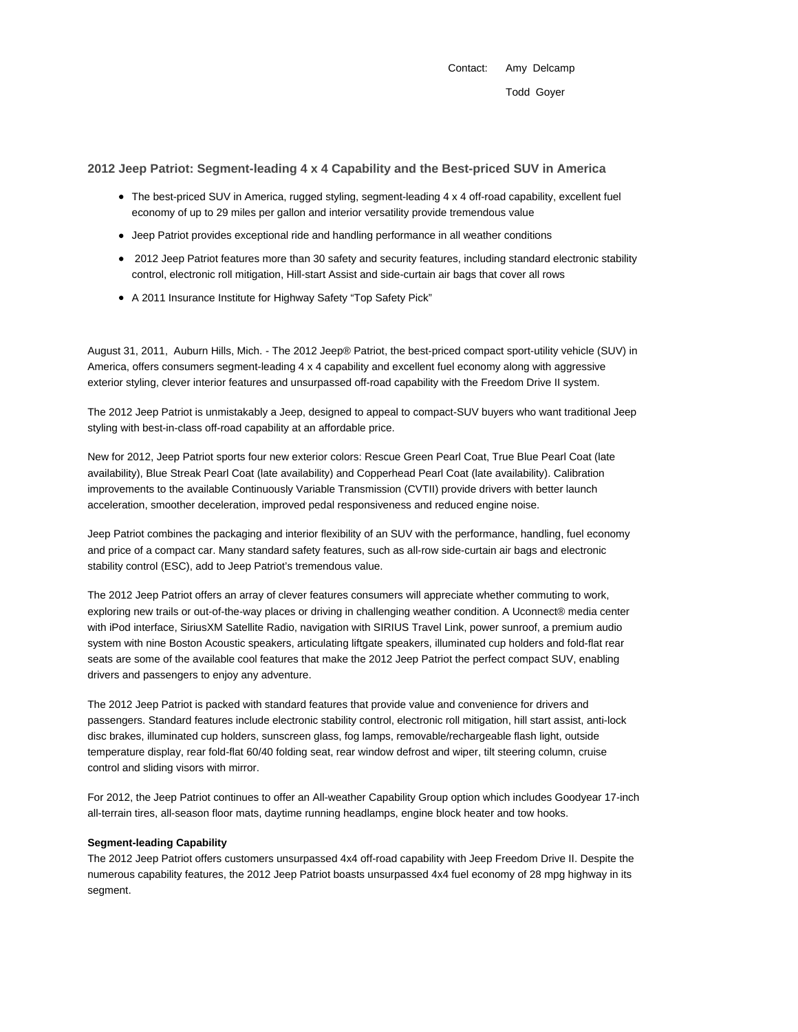Contact: Amy Delcamp Todd Goyer

## **2012 Jeep Patriot: Segment-leading 4 x 4 Capability and the Best-priced SUV in America**

- The best-priced SUV in America, rugged styling, segment-leading 4 x 4 off-road capability, excellent fuel economy of up to 29 miles per gallon and interior versatility provide tremendous value
- Jeep Patriot provides exceptional ride and handling performance in all weather conditions
- 2012 Jeep Patriot features more than 30 safety and security features, including standard electronic stability control, electronic roll mitigation, Hill-start Assist and side-curtain air bags that cover all rows
- A 2011 Insurance Institute for Highway Safety "Top Safety Pick"

August 31, 2011, Auburn Hills, Mich. - The 2012 Jeep® Patriot, the best-priced compact sport-utility vehicle (SUV) in America, offers consumers segment-leading 4 x 4 capability and excellent fuel economy along with aggressive exterior styling, clever interior features and unsurpassed off-road capability with the Freedom Drive II system.

The 2012 Jeep Patriot is unmistakably a Jeep, designed to appeal to compact-SUV buyers who want traditional Jeep styling with best-in-class off-road capability at an affordable price.

New for 2012, Jeep Patriot sports four new exterior colors: Rescue Green Pearl Coat, True Blue Pearl Coat (late availability), Blue Streak Pearl Coat (late availability) and Copperhead Pearl Coat (late availability). Calibration improvements to the available Continuously Variable Transmission (CVTII) provide drivers with better launch acceleration, smoother deceleration, improved pedal responsiveness and reduced engine noise.

Jeep Patriot combines the packaging and interior flexibility of an SUV with the performance, handling, fuel economy and price of a compact car. Many standard safety features, such as all-row side-curtain air bags and electronic stability control (ESC), add to Jeep Patriot's tremendous value.

The 2012 Jeep Patriot offers an array of clever features consumers will appreciate whether commuting to work, exploring new trails or out-of-the-way places or driving in challenging weather condition. A Uconnect® media center with iPod interface, SiriusXM Satellite Radio, navigation with SIRIUS Travel Link, power sunroof, a premium audio system with nine Boston Acoustic speakers, articulating liftgate speakers, illuminated cup holders and fold-flat rear seats are some of the available cool features that make the 2012 Jeep Patriot the perfect compact SUV, enabling drivers and passengers to enjoy any adventure.

The 2012 Jeep Patriot is packed with standard features that provide value and convenience for drivers and passengers. Standard features include electronic stability control, electronic roll mitigation, hill start assist, anti-lock disc brakes, illuminated cup holders, sunscreen glass, fog lamps, removable/rechargeable flash light, outside temperature display, rear fold-flat 60/40 folding seat, rear window defrost and wiper, tilt steering column, cruise control and sliding visors with mirror.

For 2012, the Jeep Patriot continues to offer an All-weather Capability Group option which includes Goodyear 17-inch all-terrain tires, all-season floor mats, daytime running headlamps, engine block heater and tow hooks.

## **Segment-leading Capability**

The 2012 Jeep Patriot offers customers unsurpassed 4x4 off-road capability with Jeep Freedom Drive II. Despite the numerous capability features, the 2012 Jeep Patriot boasts unsurpassed 4x4 fuel economy of 28 mpg highway in its segment.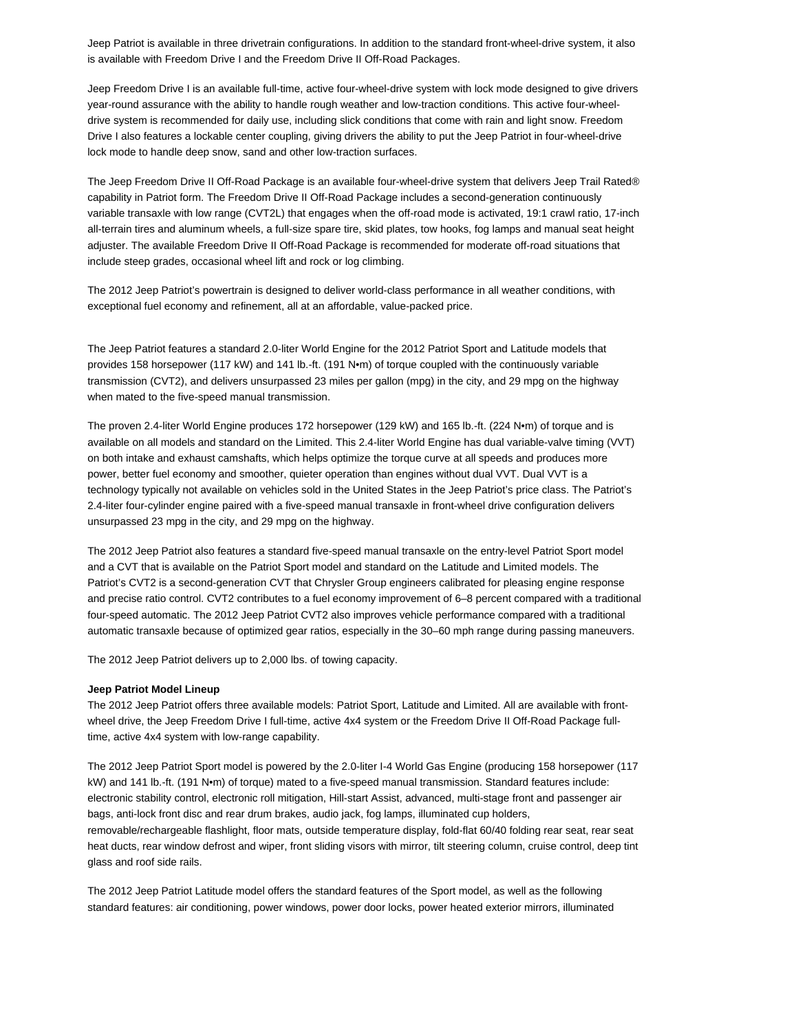Jeep Patriot is available in three drivetrain configurations. In addition to the standard front-wheel-drive system, it also is available with Freedom Drive I and the Freedom Drive II Off-Road Packages.

Jeep Freedom Drive I is an available full-time, active four-wheel-drive system with lock mode designed to give drivers year-round assurance with the ability to handle rough weather and low-traction conditions. This active four-wheeldrive system is recommended for daily use, including slick conditions that come with rain and light snow. Freedom Drive I also features a lockable center coupling, giving drivers the ability to put the Jeep Patriot in four-wheel-drive lock mode to handle deep snow, sand and other low-traction surfaces.

The Jeep Freedom Drive II Off-Road Package is an available four-wheel-drive system that delivers Jeep Trail Rated® capability in Patriot form. The Freedom Drive II Off-Road Package includes a second-generation continuously variable transaxle with low range (CVT2L) that engages when the off-road mode is activated, 19:1 crawl ratio, 17-inch all-terrain tires and aluminum wheels, a full-size spare tire, skid plates, tow hooks, fog lamps and manual seat height adjuster. The available Freedom Drive II Off-Road Package is recommended for moderate off-road situations that include steep grades, occasional wheel lift and rock or log climbing.

The 2012 Jeep Patriot's powertrain is designed to deliver world-class performance in all weather conditions, with exceptional fuel economy and refinement, all at an affordable, value-packed price.

The Jeep Patriot features a standard 2.0-liter World Engine for the 2012 Patriot Sport and Latitude models that provides 158 horsepower (117 kW) and 141 lb.-ft. (191 N•m) of torque coupled with the continuously variable transmission (CVT2), and delivers unsurpassed 23 miles per gallon (mpg) in the city, and 29 mpg on the highway when mated to the five-speed manual transmission.

The proven 2.4-liter World Engine produces 172 horsepower (129 kW) and 165 lb.-ft. (224 N•m) of torque and is available on all models and standard on the Limited. This 2.4-liter World Engine has dual variable-valve timing (VVT) on both intake and exhaust camshafts, which helps optimize the torque curve at all speeds and produces more power, better fuel economy and smoother, quieter operation than engines without dual VVT. Dual VVT is a technology typically not available on vehicles sold in the United States in the Jeep Patriot's price class. The Patriot's 2.4-liter four-cylinder engine paired with a five-speed manual transaxle in front-wheel drive configuration delivers unsurpassed 23 mpg in the city, and 29 mpg on the highway.

The 2012 Jeep Patriot also features a standard five-speed manual transaxle on the entry-level Patriot Sport model and a CVT that is available on the Patriot Sport model and standard on the Latitude and Limited models. The Patriot's CVT2 is a second-generation CVT that Chrysler Group engineers calibrated for pleasing engine response and precise ratio control. CVT2 contributes to a fuel economy improvement of 6–8 percent compared with a traditional four-speed automatic. The 2012 Jeep Patriot CVT2 also improves vehicle performance compared with a traditional automatic transaxle because of optimized gear ratios, especially in the 30–60 mph range during passing maneuvers.

The 2012 Jeep Patriot delivers up to 2,000 lbs. of towing capacity.

## **Jeep Patriot Model Lineup**

The 2012 Jeep Patriot offers three available models: Patriot Sport, Latitude and Limited. All are available with frontwheel drive, the Jeep Freedom Drive I full-time, active 4x4 system or the Freedom Drive II Off-Road Package fulltime, active 4x4 system with low-range capability.

The 2012 Jeep Patriot Sport model is powered by the 2.0-liter I-4 World Gas Engine (producing 158 horsepower (117 kW) and 141 lb.-ft. (191 N•m) of torque) mated to a five-speed manual transmission. Standard features include: electronic stability control, electronic roll mitigation, Hill-start Assist, advanced, multi-stage front and passenger air bags, anti-lock front disc and rear drum brakes, audio jack, fog lamps, illuminated cup holders, removable/rechargeable flashlight, floor mats, outside temperature display, fold-flat 60/40 folding rear seat, rear seat heat ducts, rear window defrost and wiper, front sliding visors with mirror, tilt steering column, cruise control, deep tint glass and roof side rails.

The 2012 Jeep Patriot Latitude model offers the standard features of the Sport model, as well as the following standard features: air conditioning, power windows, power door locks, power heated exterior mirrors, illuminated